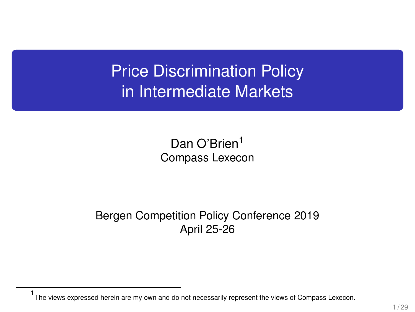Price Discrimination Policy in Intermediate Markets

> Dan O'Brien<sup>1</sup> Compass Lexecon

Bergen Competition Policy Conference 2019 April 25-26

<sup>1</sup> The views expressed herein are my own and do not necessarily represent the views of Compass Lexecon.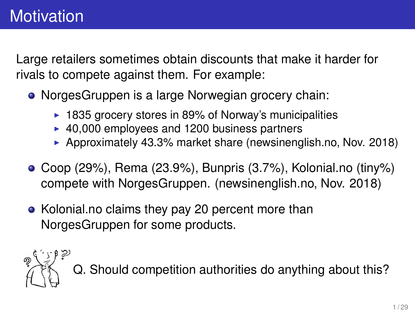Large retailers sometimes obtain discounts that make it harder for rivals to compete against them. For example:

- NorgesGruppen is a large Norwegian grocery chain:
	- $\blacktriangleright$  1835 grocery stores in 89% of Norway's municipalities
	- $\blacktriangleright$  40,000 employees and 1200 business partners
	- **Approximately 43.3% market share (newsinenglish.no, Nov. 2018)**
- $\bullet$  Coop (29%), Rema (23.9%), Bunpris (3.7%), Kolonial.no (tiny%) compete with NorgesGruppen. (newsinenglish.no, Nov. 2018)
- Kolonial.no claims they pay 20 percent more than NorgesGruppen for some products.

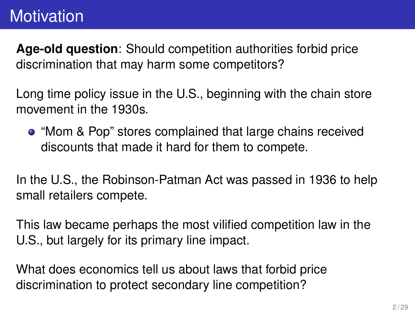**Age-old question**: Should competition authorities forbid price discrimination that may harm some competitors?

Long time policy issue in the U.S., beginning with the chain store movement in the 1930s.

"Mom & Pop" stores complained that large chains received discounts that made it hard for them to compete.

In the U.S., the Robinson-Patman Act was passed in 1936 to help small retailers compete.

This law became perhaps the most vilified competition law in the U.S., but largely for its primary line impact.

What does economics tell us about laws that forbid price discrimination to protect secondary line competition?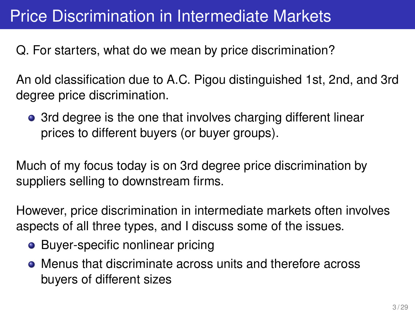# Price Discrimination in Intermediate Markets

Q. For starters, what do we mean by price discrimination?

An old classification due to A.C. Pigou distinguished 1st, 2nd, and 3rd degree price discrimination.

• 3rd degree is the one that involves charging different linear prices to different buyers (or buyer groups).

Much of my focus today is on 3rd degree price discrimination by suppliers selling to downstream firms.

However, price discrimination in intermediate markets often involves aspects of all three types, and I discuss some of the issues.

- Buyer-specific nonlinear pricing
- Menus that discriminate across units and therefore across buyers of different sizes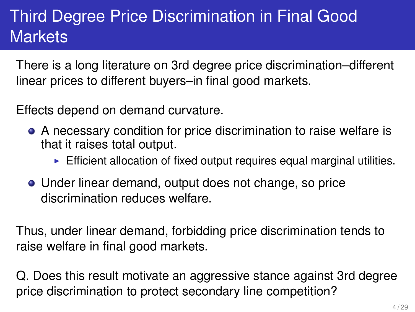# Third Degree Price Discrimination in Final Good **Markets**

There is a long literature on 3rd degree price discrimination–different linear prices to different buyers–in final good markets.

Effects depend on demand curvature.

- A necessary condition for price discrimination to raise welfare is that it raises total output.
	- $\blacktriangleright$  Efficient allocation of fixed output requires equal marginal utilities.
- Under linear demand, output does not change, so price discrimination reduces welfare.

Thus, under linear demand, forbidding price discrimination tends to raise welfare in final good markets.

Q. Does this result motivate an aggressive stance against 3rd degree price discrimination to protect secondary line competition?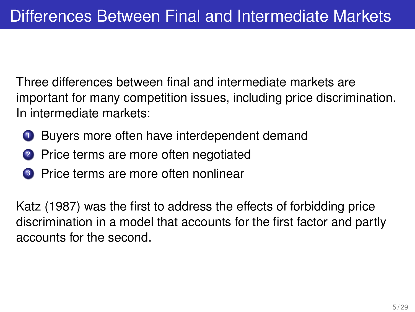Three differences between final and intermediate markets are important for many competition issues, including price discrimination. In intermediate markets:

- **1** Buyers more often have interdependent demand
- <sup>2</sup> Price terms are more often negotiated
- <sup>3</sup> Price terms are more often nonlinear

Katz (1987) was the first to address the effects of forbidding price discrimination in a model that accounts for the first factor and partly accounts for the second.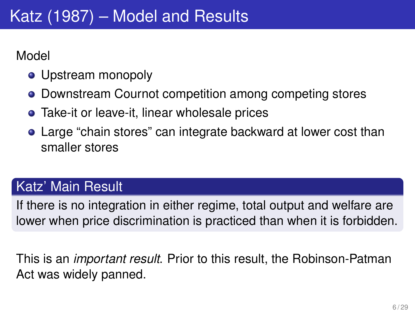Model

- Upstream monopoly
- Downstream Cournot competition among competing stores
- Take-it or leave-it, linear wholesale prices
- Large "chain stores" can integrate backward at lower cost than smaller stores

#### Katz' Main Result

If there is no integration in either regime, total output and welfare are lower when price discrimination is practiced than when it is forbidden.

This is an *important result*. Prior to this result, the Robinson-Patman Act was widely panned.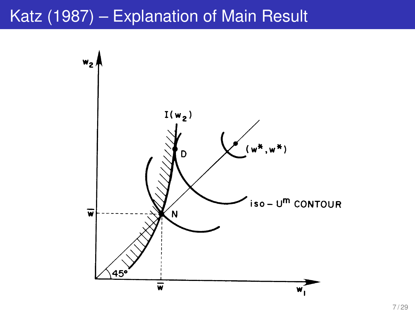### Katz (1987) – Explanation of Main Result

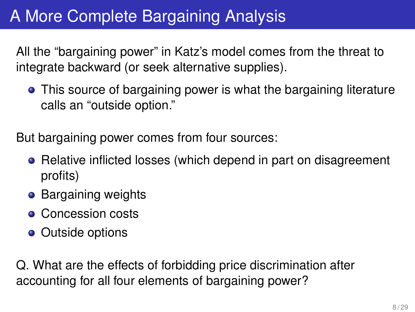# A More Complete Bargaining Analysis

All the "bargaining power" in Katz's model comes from the threat to integrate backward (or seek alternative supplies).

This source of bargaining power is what the bargaining literature calls an "outside option."

But bargaining power comes from four sources:

- Relative inflicted losses (which depend in part on disagreement profits)
- Bargaining weights
- **Concession costs**
- Outside options

Q. What are the effects of forbidding price discrimination after accounting for all four elements of bargaining power?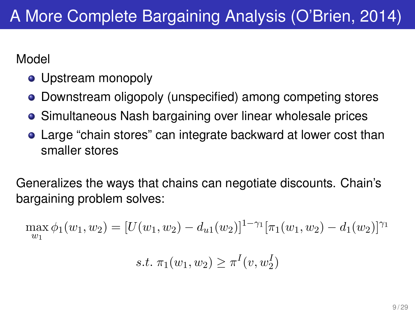Model

- Upstream monopoly
- Downstream oligopoly (unspecified) among competing stores
- **•** Simultaneous Nash bargaining over linear wholesale prices
- Large "chain stores" can integrate backward at lower cost than smaller stores

Generalizes the ways that chains can negotiate discounts. Chain's bargaining problem solves:

$$
\max_{w_1} \phi_1(w_1, w_2) = [U(w_1, w_2) - d_{u1}(w_2)]^{1-\gamma_1} [\pi_1(w_1, w_2) - d_1(w_2)]^{\gamma_1}
$$

s.t. 
$$
\pi_1(w_1, w_2) \geq \pi^I(v, w_2^I)
$$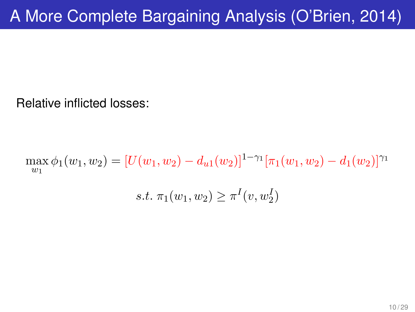Relative inflicted losses:

 $\max_{w_1} \phi_1(w_1, w_2) = [U(w_1, w_2) - d_{u1}(w_2)]^{1-\gamma_1} [\pi_1(w_1, w_2) - d_1(w_2)]^{\gamma_1}$ s.t.  $\pi_1(w_1, w_2) \geq \pi^I(v, w_2^I)$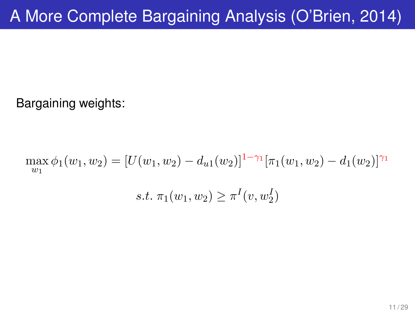Bargaining weights:

$$
\max_{w_1} \phi_1(w_1, w_2) = [U(w_1, w_2) - d_{u1}(w_2)]^{1-\gamma_1} [\pi_1(w_1, w_2) - d_1(w_2)]^{\gamma_1}
$$
  
s.t.  $\pi_1(w_1, w_2) \ge \pi^I(v, w_2^I)$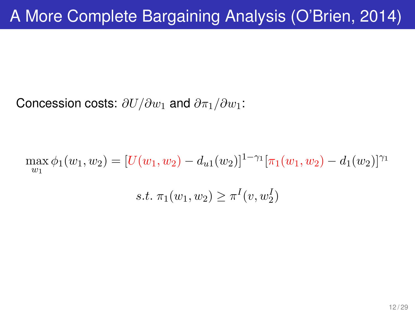Concession costs:  $\partial U/\partial w_1$  and  $\partial \pi_1/\partial w_1$ :

 $\max \phi_1(w_1, w_2) = [U(w_1, w_2) - d_{u1}(w_2)]^{1-\gamma_1} [\pi_1(w_1, w_2) - d_1(w_2)]^{\gamma_1}$  $\overline{w_1}$ s.t.  $\pi_1(w_1, w_2) \geq \pi^I(v, w_2^I)$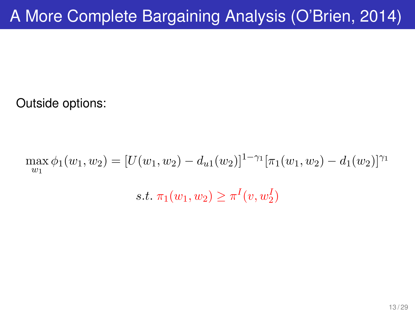Outside options:

 $\max_{w_1} \phi_1(w_1, w_2) = [U(w_1, w_2) - d_{u1}(w_2)]^{1-\gamma_1} [\pi_1(w_1, w_2) - d_1(w_2)]^{\gamma_1}$ s.t.  $\pi_1(w_1, w_2) \geq \pi^I(v, w_2^I)$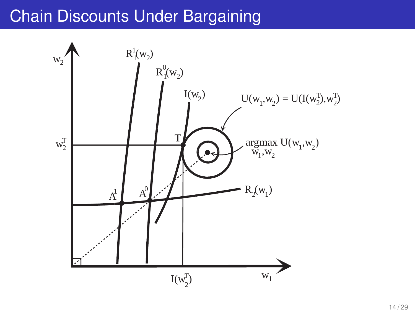# Chain Discounts Under Bargaining

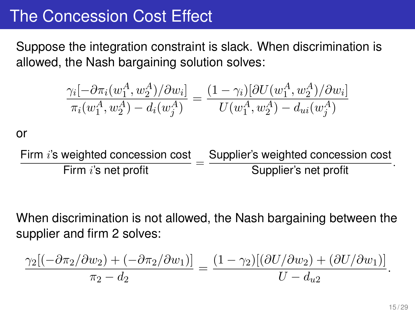### The Concession Cost Effect

Suppose the integration constraint is slack. When discrimination is allowed, the Nash bargaining solution solves:

$$
\frac{\gamma_i[-\partial \pi_i(w_1^A, w_2^A)/\partial w_i]}{\pi_i(w_1^A, w_2^A) - d_i(w_j^A)} = \frac{(1 - \gamma_i)[\partial U(w_1^A, w_2^A)/\partial w_i]}{U(w_1^A, w_2^A) - d_{ui}(w_j^A)}
$$

or

Firm i's weighted concession cost Firm  $i$ 's net profit Supplier's weighted concession cost Supplier's net profit .

When discrimination is not allowed, the Nash bargaining between the supplier and firm 2 solves:

$$
\frac{\gamma_2[(-\partial\pi_2/\partial w_2)+(-\partial\pi_2/\partial w_1)]}{\pi_2-d_2}=\frac{(1-\gamma_2)[(\partial U/\partial w_2)+(\partial U/\partial w_1)]}{U-d_{u2}}.
$$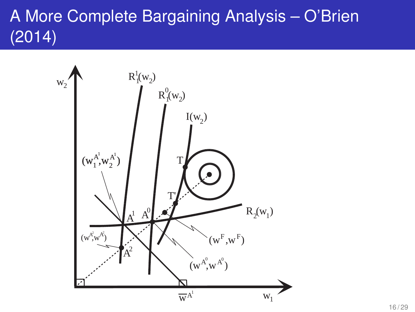# A More Complete Bargaining Analysis – O'Brien (2014)

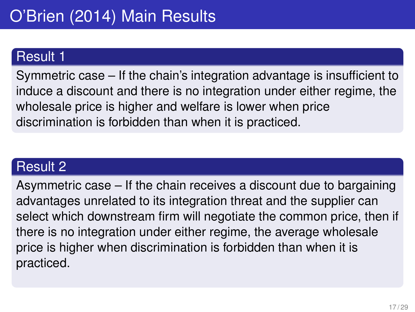#### Result 1

Symmetric case – If the chain's integration advantage is insufficient to induce a discount and there is no integration under either regime, the wholesale price is higher and welfare is lower when price discrimination is forbidden than when it is practiced.

#### Result 2

Asymmetric case – If the chain receives a discount due to bargaining advantages unrelated to its integration threat and the supplier can select which downstream firm will negotiate the common price, then if there is no integration under either regime, the average wholesale price is higher when discrimination is forbidden than when it is practiced.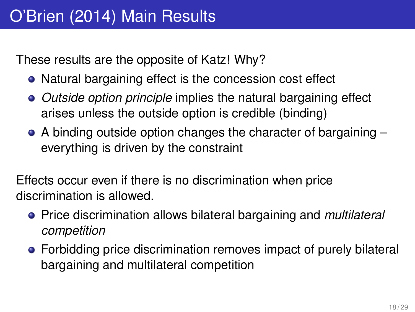These results are the opposite of Katz! Why?

- Natural bargaining effect is the concession cost effect
- *Outside option principle* implies the natural bargaining effect arises unless the outside option is credible (binding)
- A binding outside option changes the character of bargaining everything is driven by the constraint

Effects occur even if there is no discrimination when price discrimination is allowed.

- Price discrimination allows bilateral bargaining and *multilateral competition*
- Forbidding price discrimination removes impact of purely bilateral bargaining and multilateral competition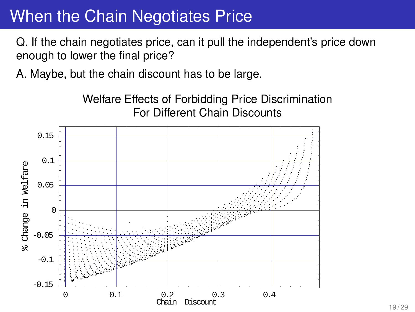### When the Chain Negotiates Price

Q. If the chain negotiates price, can it pull the independent's price down enough to lower the final price?

A. Maybe, but the chain discount has to be large.

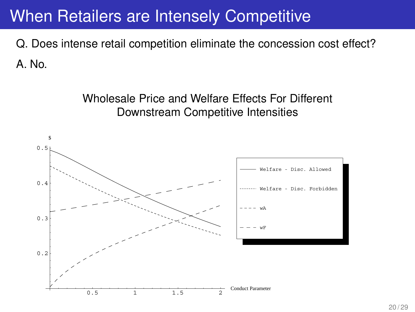### When Retailers are Intensely Competitive

Q. Does intense retail competition eliminate the concession cost effect? A. No.

> Wholesale Price and Welfare Effects For Different Downstream Competitive Intensities

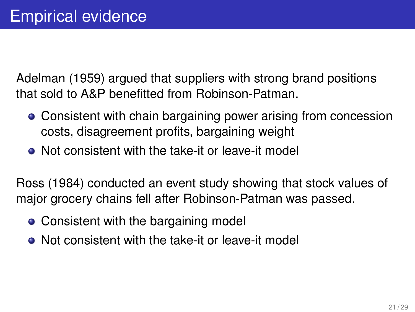Adelman (1959) argued that suppliers with strong brand positions that sold to A&P benefitted from Robinson-Patman.

- Consistent with chain bargaining power arising from concession costs, disagreement profits, bargaining weight
- Not consistent with the take-it or leave-it model

Ross (1984) conducted an event study showing that stock values of major grocery chains fell after Robinson-Patman was passed.

- Consistent with the bargaining model
- Not consistent with the take-it or leave-it model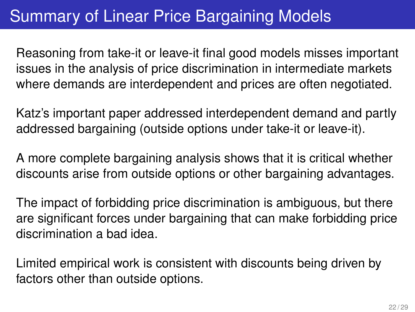# Summary of Linear Price Bargaining Models

Reasoning from take-it or leave-it final good models misses important issues in the analysis of price discrimination in intermediate markets where demands are interdependent and prices are often negotiated.

Katz's important paper addressed interdependent demand and partly addressed bargaining (outside options under take-it or leave-it).

A more complete bargaining analysis shows that it is critical whether discounts arise from outside options or other bargaining advantages.

The impact of forbidding price discrimination is ambiguous, but there are significant forces under bargaining that can make forbidding price discrimination a bad idea.

Limited empirical work is consistent with discounts being driven by factors other than outside options.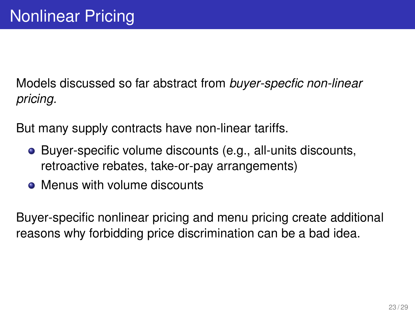Models discussed so far abstract from *buyer-specfic non-linear pricing.*

But many supply contracts have non-linear tariffs.

- Buyer-specific volume discounts (e.g., all-units discounts, retroactive rebates, take-or-pay arrangements)
- Menus with volume discounts

Buyer-specific nonlinear pricing and menu pricing create additional reasons why forbidding price discrimination can be a bad idea.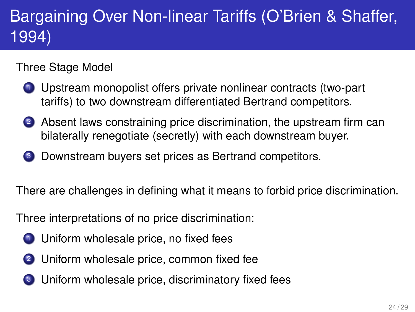# Bargaining Over Non-linear Tariffs (O'Brien & Shaffer, 1994)

#### Three Stage Model

- <sup>1</sup> Upstream monopolist offers private nonlinear contracts (two-part tariffs) to two downstream differentiated Bertrand competitors.
- 2 Absent laws constraining price discrimination, the upstream firm can bilaterally renegotiate (secretly) with each downstream buyer.
- Downstream buyers set prices as Bertrand competitors.

There are challenges in defining what it means to forbid price discrimination.

Three interpretations of no price discrimination:

- <sup>1</sup> Uniform wholesale price, no fixed fees
- 2 Uniform wholesale price, common fixed fee
- <sup>3</sup> Uniform wholesale price, discriminatory fixed fees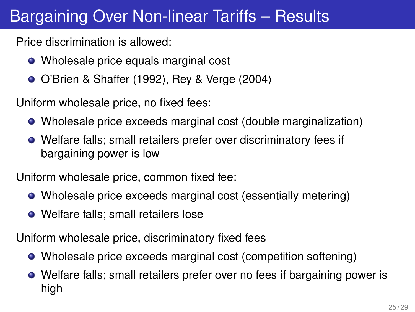# Bargaining Over Non-linear Tariffs – Results

Price discrimination is allowed:

- Wholesale price equals marginal cost
- O'Brien & Shaffer (1992), Rey & Verge (2004)

Uniform wholesale price, no fixed fees:

- Wholesale price exceeds marginal cost (double marginalization)
- Welfare falls; small retailers prefer over discriminatory fees if bargaining power is low

Uniform wholesale price, common fixed fee:

- Wholesale price exceeds marginal cost (essentially metering)
- Welfare falls: small retailers lose

Uniform wholesale price, discriminatory fixed fees

- Wholesale price exceeds marginal cost (competition softening)
- Welfare falls; small retailers prefer over no fees if bargaining power is high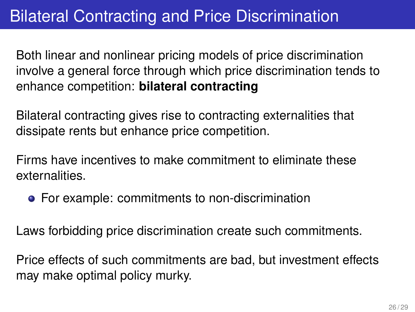## Bilateral Contracting and Price Discrimination

Both linear and nonlinear pricing models of price discrimination involve a general force through which price discrimination tends to enhance competition: **bilateral contracting**

Bilateral contracting gives rise to contracting externalities that dissipate rents but enhance price competition.

Firms have incentives to make commitment to eliminate these externalities.

For example: commitments to non-discrimination

Laws forbidding price discrimination create such commitments.

Price effects of such commitments are bad, but investment effects may make optimal policy murky.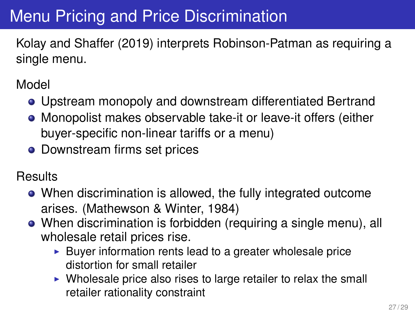# Menu Pricing and Price Discrimination

Kolay and Shaffer (2019) interprets Robinson-Patman as requiring a single menu.

Model

- Upstream monopoly and downstream differentiated Bertrand
- Monopolist makes observable take-it or leave-it offers (either buyer-specific non-linear tariffs or a menu)
- **•** Downstream firms set prices

**Results** 

- When discrimination is allowed, the fully integrated outcome arises. (Mathewson & Winter, 1984)
- When discrimination is forbidden (requiring a single menu), all wholesale retail prices rise.
	- $\blacktriangleright$  Buyer information rents lead to a greater wholesale price distortion for small retailer
	- $\triangleright$  Wholesale price also rises to large retailer to relax the small retailer rationality constraint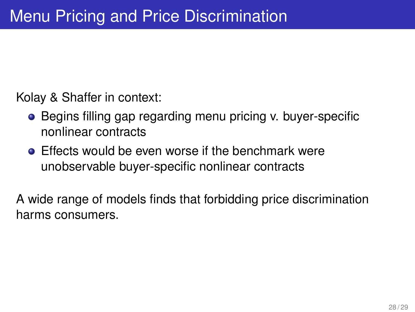Kolay & Shaffer in context:

- Begins filling gap regarding menu pricing v. buyer-specific nonlinear contracts
- **Effects would be even worse if the benchmark were** unobservable buyer-specific nonlinear contracts

A wide range of models finds that forbidding price discrimination harms consumers.